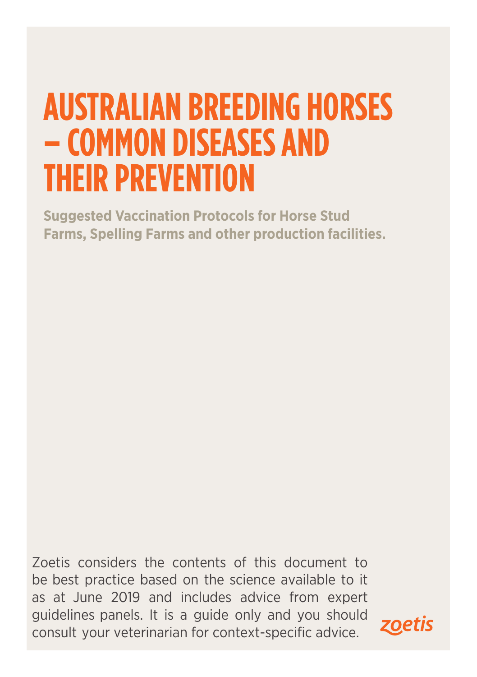# **AUSTRALIAN BREEDING HORSES – COMMON DISEASES AND THEIR PREVENTION**

**Suggested Vaccination Protocols for Horse Stud Farms, Spelling Farms and other production facilities.**

Zoetis considers the contents of this document to be best practice based on the science available to it as at June 2019 and includes advice from expert guidelines panels. It is a guide only and you should consult your veterinarian for context-specific advice.

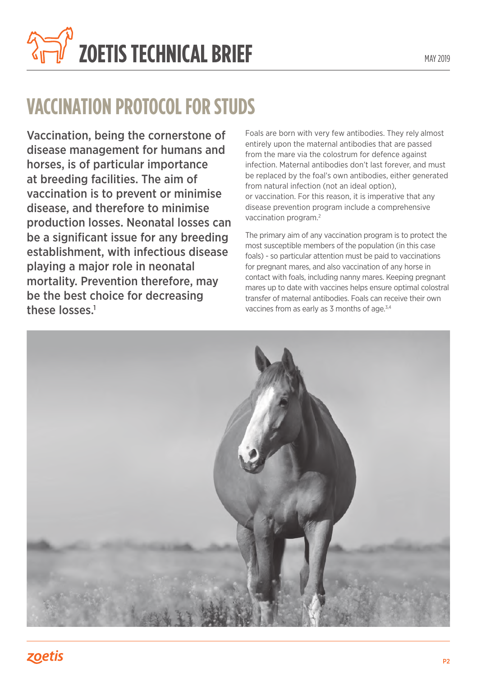

## **VACCINATION PROTOCOL FOR STUDS**

Vaccination, being the cornerstone of disease management for humans and horses, is of particular importance at breeding facilities. The aim of vaccination is to prevent or minimise disease, and therefore to minimise production losses. Neonatal losses can be a significant issue for any breeding establishment, with infectious disease playing a major role in neonatal mortality. Prevention therefore, may be the best choice for decreasing these losses.<sup>1</sup>

Foals are born with very few antibodies. They rely almost entirely upon the maternal antibodies that are passed from the mare via the colostrum for defence against infection. Maternal antibodies don't last forever, and must be replaced by the foal's own antibodies, either generated from natural infection (not an ideal option), or vaccination. For this reason, it is imperative that any disease prevention program include a comprehensive vaccination program.2

The primary aim of any vaccination program is to protect the most susceptible members of the population (in this case foals) - so particular attention must be paid to vaccinations for pregnant mares, and also vaccination of any horse in contact with foals, including nanny mares. Keeping pregnant mares up to date with vaccines helps ensure optimal colostral transfer of maternal antibodies. Foals can receive their own vaccines from as early as 3 months of age.<sup>3,4</sup>

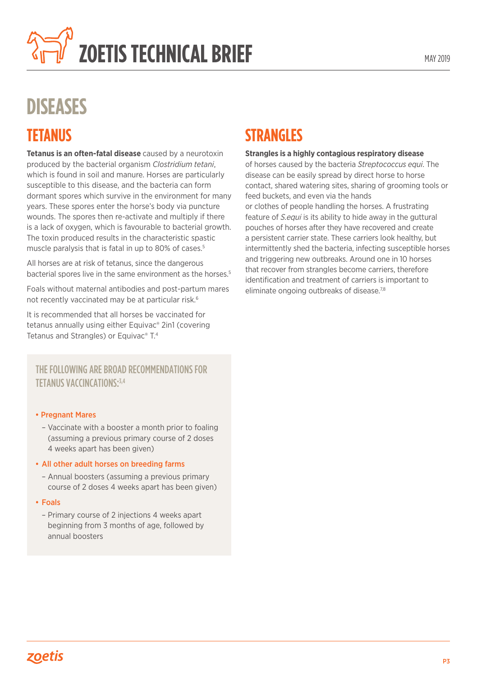

## **DISEASES**

## **TETANUS**

**Tetanus is an often-fatal disease** caused by a neurotoxin produced by the bacterial organism *Clostridium tetani*, which is found in soil and manure. Horses are particularly susceptible to this disease, and the bacteria can form dormant spores which survive in the environment for many years. These spores enter the horse's body via puncture wounds. The spores then re-activate and multiply if there is a lack of oxygen, which is favourable to bacterial growth. The toxin produced results in the characteristic spastic muscle paralysis that is fatal in up to 80% of cases.<sup>5</sup>

All horses are at risk of tetanus, since the dangerous bacterial spores live in the same environment as the horses.<sup>5</sup>

Foals without maternal antibodies and post-partum mares not recently vaccinated may be at particular risk.<sup>6</sup>

It is recommended that all horses be vaccinated for tetanus annually using either Equivac® 2in1 (covering Tetanus and Strangles) or Equivac® T. 4

#### THE FOLLOWING ARE BROAD RECOMMENDATIONS FOR TETANUS VACCINCATIONS: 3,4

#### • Pregnant Mares

– Vaccinate with a booster a month prior to foaling (assuming a previous primary course of 2 doses 4 weeks apart has been given)

#### • All other adult horses on breeding farms

– Annual boosters (assuming a previous primary course of 2 doses 4 weeks apart has been given)

#### • Foals

– Primary course of 2 injections 4 weeks apart beginning from 3 months of age, followed by annual boosters

## **STRANGLES**

#### **Strangles is a highly contagious respiratory disease**

of horses caused by the bacteria *Streptococcus equi*. The disease can be easily spread by direct horse to horse contact, shared watering sites, sharing of grooming tools or feed buckets, and even via the hands or clothes of people handling the horses. A frustrating feature of S.equi is its ability to hide away in the guttural pouches of horses after they have recovered and create a persistent carrier state. These carriers look healthy, but intermittently shed the bacteria, infecting susceptible horses and triggering new outbreaks. Around one in 10 horses that recover from strangles become carriers, therefore identification and treatment of carriers is important to eliminate ongoing outbreaks of disease.<sup>7,8</sup>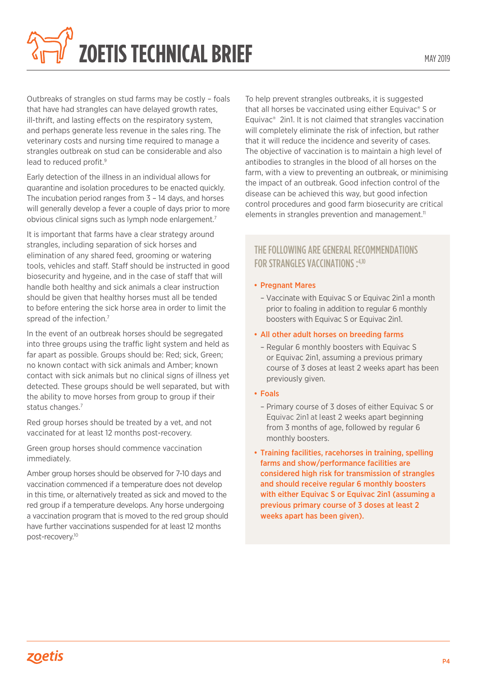

Outbreaks of strangles on stud farms may be costly – foals that have had strangles can have delayed growth rates, ill-thrift, and lasting effects on the respiratory system, and perhaps generate less revenue in the sales ring. The veterinary costs and nursing time required to manage a strangles outbreak on stud can be considerable and also lead to reduced profit.<sup>9</sup>

Early detection of the illness in an individual allows for quarantine and isolation procedures to be enacted quickly. The incubation period ranges from 3 – 14 days, and horses will generally develop a fever a couple of days prior to more obvious clinical signs such as lymph node enlargement.7

It is important that farms have a clear strategy around strangles, including separation of sick horses and elimination of any shared feed, grooming or watering tools, vehicles and staff. Staff should be instructed in good biosecurity and hygeine, and in the case of staff that will handle both healthy and sick animals a clear instruction should be given that healthy horses must all be tended to before entering the sick horse area in order to limit the spread of the infection.<sup>7</sup>

In the event of an outbreak horses should be segregated into three groups using the traffic light system and held as far apart as possible. Groups should be: Red; sick, Green; no known contact with sick animals and Amber; known contact with sick animals but no clinical signs of illness yet detected. These groups should be well separated, but with the ability to move horses from group to group if their status changes.<sup>7</sup>

Red group horses should be treated by a vet, and not vaccinated for at least 12 months post-recovery.

Green group horses should commence vaccination immediately.

Amber group horses should be observed for 7-10 days and vaccination commenced if a temperature does not develop in this time, or alternatively treated as sick and moved to the red group if a temperature develops. Any horse undergoing a vaccination program that is moved to the red group should have further vaccinations suspended for at least 12 months post-recovery.10

To help prevent strangles outbreaks, it is suggested that all horses be vaccinated using either Equivac® S or Equivac® 2in1. It is not claimed that strangles vaccination will completely eliminate the risk of infection, but rather that it will reduce the incidence and severity of cases. The objective of vaccination is to maintain a high level of antibodies to strangles in the blood of all horses on the farm, with a view to preventing an outbreak, or minimising the impact of an outbreak. Good infection control of the disease can be achieved this way, but good infection control procedures and good farm biosecurity are critical elements in strangles prevention and management.<sup>11</sup>

#### THE FOLLOWING ARE GENERAL RECOMMENDATIONS FOR STRANGLES VACCINATIONS : 4,10

#### • Pregnant Mares

– Vaccinate with Equivac S or Equivac 2in1 a month prior to foaling in addition to regular 6 monthly boosters with Equivac S or Equivac 2in1.

#### • All other adult horses on breeding farms

- Regular 6 monthly boosters with Equivac S or Equivac 2in1, assuming a previous primary course of 3 doses at least 2 weeks apart has been previously given.
- Foals
	- Primary course of 3 doses of either Equivac S or Equivac 2in1 at least 2 weeks apart beginning from 3 months of age, followed by regular 6 monthly boosters.
- Training facilities, racehorses in training, spelling farms and show/performance facilities are considered high risk for transmission of strangles and should receive regular 6 monthly boosters with either Equivac S or Equivac 2in1 (assuming a previous primary course of 3 doses at least 2 weeks apart has been given).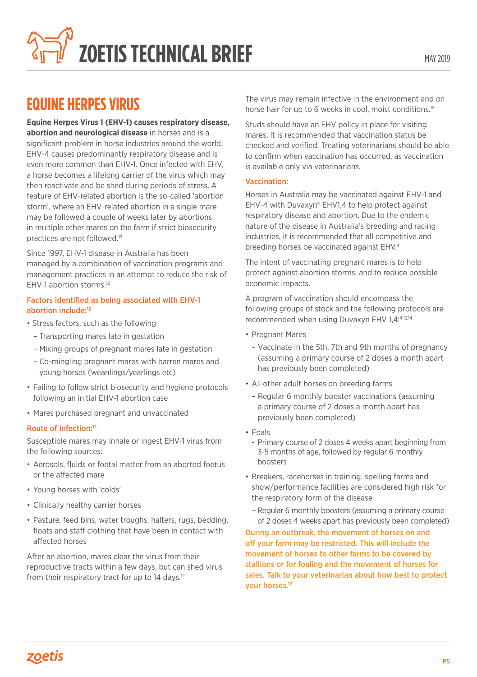

## **EQUINE HERPES VIRUS**

**Equine Herpes Virus 1 (EHV-1) causes respiratory disease, abortion and neurological disease** in horses and is a significant problem in horse industries around the world. EHV-4 causes predominantly respiratory disease and is even more common than EHV-1. Once infected with EHV, a horse becomes a lifelong carrier of the virus which may then reactivate and be shed during periods of stress. A feature of EHV-related abortion is the so-called 'abortion storm', where an EHV-related abortion in a single mare may be followed a couple of weeks later by abortions in multiple other mares on the farm if strict biosecurity practices are not followed.12

Since 1997, EHV-1 disease in Australia has been managed by a combination of vaccination programs and management practices in an attempt to reduce the risk of EHV-1 abortion storms.12

#### Factors identified as being associated with EHV-1 abortion include:<sup>12</sup>

- Stress factors, such as the following
	- Transporting mares late in gestation
	- Mixing groups of pregnant mares late in gestation
	- Co-mingling pregnant mares with barren mares and young horses (weanlings/yearlings etc)
- Failing to follow strict biosecurity and hygiene protocols following an initial EHV-1 abortion case
- Mares purchased pregnant and unvaccinated

#### Route of Infection:12

Susceptible mares may inhale or ingest EHV-1 virus from the following sources:

- Aerosols, fluids or foetal matter from an aborted foetus or the affected mare
- Young horses with 'colds'
- Clinically healthy carrier horses
- Pasture, feed bins, water troughs, halters, rugs, bedding, floats and staff clothing that have been in contact with affected horses

After an abortion, mares clear the virus from their reproductive tracts within a few days, but can shed virus from their respiratory tract for up to 14 days.<sup>12</sup>

The virus may remain infective in the environment and on horse hair for up to 6 weeks in cool, moist conditions.<sup>12</sup>

Studs should have an EHV policy in place for visiting mares. It is recommended that vaccination status be checked and verified. Treating veterinarians should be able to confirm when vaccination has occurred, as vaccination is available only via veterinarians.

#### Vaccination:

Horses in Australia may be vaccinated against EHV-1 and EHV-4 with Duvaxyn® EHV1,4 to help protect against respiratory disease and abortion. Due to the endemic nature of the disease in Australia's breeding and racing industries, it is recommended that all competitive and breeding horses be vaccinated against EHV.4

The intent of vaccinating pregnant mares is to help protect against abortion storms, and to reduce possible economic impacts.

A program of vaccination should encompass the following groups of stock and the following protocols are recommended when using Duvaxyn EHV 1,4:4,13,14

- Pregnant Mares
	- Vaccinate in the 5th, 7th and 9th months of pregnancy (assuming a primary course of 2 doses a month apart has previously been completed)
- All other adult horses on breeding farms
	- Regular 6 monthly booster vaccinations (assuming a primary course of 2 doses a month apart has previously been completed)
- Foals
	- Primary course of 2 doses 4 weeks apart beginning from 3-5 months of age, followed by regular 6 monthly boosters
- Breakers, racehorses in training, spelling farms and show/performance facilities are considered high risk for the respiratory form of the disease
	- Regular 6 monthly boosters (assuming a primary course of 2 doses 4 weeks apart has previously been completed)

During an outbreak, the movement of horses on and off your farm may be restricted. This will include the movement of horses to other farms to be covered by stallions or for foaling and the movement of horses for sales. Talk to your veterinarian about how best to protect your horses.<sup>12</sup>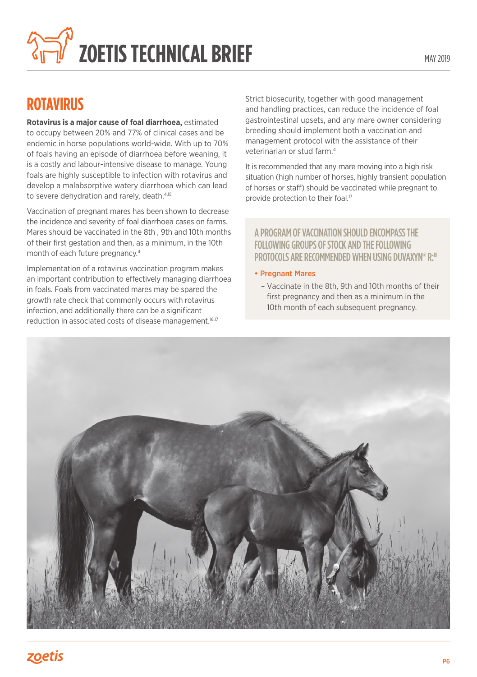

## **ROTAVIRUS**

**Rotavirus is a major cause of foal diarrhoea,** estimated to occupy between 20% and 77% of clinical cases and be endemic in horse populations world-wide. With up to 70% of foals having an episode of diarrhoea before weaning, it is a costly and labour-intensive disease to manage. Young foals are highly susceptible to infection with rotavirus and develop a malabsorptive watery diarrhoea which can lead to severe dehydration and rarely, death.<sup>4,15</sup>

Vaccination of pregnant mares has been shown to decrease the incidence and severity of foal diarrhoea cases on farms. Mares should be vaccinated in the 8th , 9th and 10th months of their first gestation and then, as a minimum, in the 10th month of each future pregnancy.4

Implementation of a rotavirus vaccination program makes an important contribution to effectively managing diarrhoea in foals. Foals from vaccinated mares may be spared the growth rate check that commonly occurs with rotavirus infection, and additionally there can be a significant reduction in associated costs of disease management.<sup>16,17</sup>

Strict biosecurity, together with good management and handling practices, can reduce the incidence of foal gastrointestinal upsets, and any mare owner considering breeding should implement both a vaccination and management protocol with the assistance of their veterinarian or stud farm.4

It is recommended that any mare moving into a high risk situation (high number of horses, highly transient population of horses or staff) should be vaccinated while pregnant to provide protection to their foal.<sup>17</sup>

#### A PROGRAM OF VACCINATION SHOULD ENCOMPASS THE FOLLOWING GROUPS OF STOCK AND THE FOLLOWING PROTOCOLS ARE RECOMMENDED WHEN USING DUVAXYN® R:<sup>18</sup>

#### • Pregnant Mares

– Vaccinate in the 8th, 9th and 10th months of their first pregnancy and then as a minimum in the 10th month of each subsequent pregnancy.

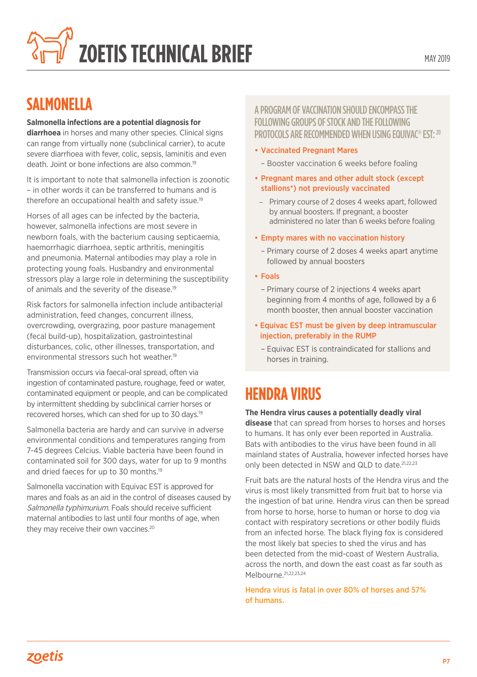

### **SALMONELLA**

#### **Salmonella infections are a potential diagnosis for**

**diarrhoea** in horses and many other species. Clinical signs can range from virtually none (subclinical carrier), to acute severe diarrhoea with fever, colic, sepsis, laminitis and even death. Joint or bone infections are also common.19

It is important to note that salmonella infection is zoonotic – in other words it can be transferred to humans and is therefore an occupational health and safety issue.19

Horses of all ages can be infected by the bacteria, however, salmonella infections are most severe in newborn foals, with the bacterium causing septicaemia, haemorrhagic diarrhoea, septic arthritis, meningitis and pneumonia. Maternal antibodies may play a role in protecting young foals. Husbandry and environmental stressors play a large role in determining the susceptibility of animals and the severity of the disease.<sup>19</sup>

Risk factors for salmonella infection include antibacterial administration, feed changes, concurrent illness, overcrowding, overgrazing, poor pasture management (fecal build-up), hospitalization, gastrointestinal disturbances, colic, other illnesses, transportation, and environmental stressors such hot weather. 19

Transmission occurs via faecal-oral spread, often via ingestion of contaminated pasture, roughage, feed or water, contaminated equipment or people, and can be complicated by intermittent shedding by subclinical carrier horses or recovered horses, which can shed for up to 30 days.19

Salmonella bacteria are hardy and can survive in adverse environmental conditions and temperatures ranging from 7-45 degrees Celcius. Viable bacteria have been found in contaminated soil for 300 days, water for up to 9 months and dried faeces for up to 30 months. 19

Salmonella vaccination with Equivac EST is approved for mares and foals as an aid in the control of diseases caused by Salmonella typhimurium. Foals should receive sufficient maternal antibodies to last until four months of age, when they may receive their own vaccines.<sup>20</sup>

#### A PROGRAM OF VACCINATION SHOULD ENCOMPASS THE FOLLOWING GROUPS OF STOCK AND THE FOLLOWING PROTOCOLS ARE RECOMMENDED WHEN USING EQUIVAC<sup>®</sup> EST: <sup>20</sup>

- Vaccinated Pregnant Mares
	- Booster vaccination 6 weeks before foaling
- Pregnant mares and other adult stock (except stallions\*) not previously vaccinated
- Primary course of 2 doses 4 weeks apart, followed by annual boosters. If pregnant, a booster administered no later than 6 weeks before foaling
- Empty mares with no vaccination history
	- Primary course of 2 doses 4 weeks apart anytime followed by annual boosters
- Foals
	- Primary course of 2 injections 4 weeks apart beginning from 4 months of age, followed by a 6 month booster, then annual booster vaccination
- Equivac EST must be given by deep intramuscular injection, preferably in the RUMP
	- Equivac EST is contraindicated for stallions and horses in training.

## **HENDRA VIRUS**

#### **The Hendra virus causes a potentially deadly viral disease** that can spread from horses to horses and horses

to humans. It has only ever been reported in Australia. Bats with antibodies to the virus have been found in all mainland states of Australia, however infected horses have only been detected in NSW and QLD to date.<sup>21,22,23</sup>

Fruit bats are the natural hosts of the Hendra virus and the virus is most likely transmitted from fruit bat to horse via the ingestion of bat urine. Hendra virus can then be spread from horse to horse, horse to human or horse to dog via contact with respiratory secretions or other bodily fluids from an infected horse. The black flying fox is considered the most likely bat species to shed the virus and has been detected from the mid-coast of Western Australia, across the north, and down the east coast as far south as Melbourne.<sup>21,22,23,24</sup>

Hendra virus is fatal in over 80% of horses and 57% of humans.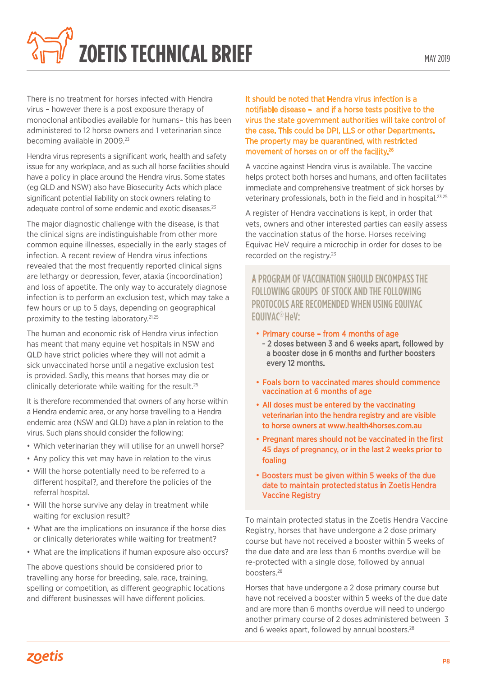

There is no treatment for horses infected with Hendra virus – however there is a post exposure therapy of monoclonal antibodies available for humans– this has been administered to 12 horse owners and 1 veterinarian since becoming available in 2009.<sup>23</sup>

Hendra virus represents a significant work, health and safety issue for any workplace, and as such all horse facilities should have a policy in place around the Hendra virus. Some states (eg QLD and NSW) also have Biosecurity Acts which place significant potential liability on stock owners relating to adequate control of some endemic and exotic diseases.<sup>23</sup>

The major diagnostic challenge with the disease, is that the clinical signs are indistinguishable from other more common equine illnesses, especially in the early stages of infection. A recent review of Hendra virus infections revealed that the most frequently reported clinical signs are lethargy or depression, fever, ataxia (incoordination) and loss of appetite. The only way to accurately diagnose infection is to perform an exclusion test, which may take a few hours or up to 5 days, depending on geographical proximity to the testing laboratory.21,25

The human and economic risk of Hendra virus infection has meant that many equine vet hospitals in NSW and QLD have strict policies where they will not admit a sick unvaccinated horse until a negative exclusion test is provided. Sadly, this means that horses may die or clinically deteriorate while waiting for the result.<sup>25</sup>

It is therefore recommended that owners of any horse within a Hendra endemic area, or any horse travelling to a Hendra endemic area (NSW and QLD) have a plan in relation to the virus. Such plans should consider the following:

- Which veterinarian they will utilise for an unwell horse?
- Any policy this vet may have in relation to the virus
- Will the horse potentially need to be referred to a different hospital?, and therefore the policies of the referral hospital.
- Will the horse survive any delay in treatment while waiting for exclusion result?
- What are the implications on insurance if the horse dies or clinically deteriorates while waiting for treatment?
- What are the implications if human exposure also occurs?

The above questions should be considered prior to travelling any horse for breeding, sale, race, training, spelling or competition, as different geographic locations and different businesses will have different policies.

It should be noted that Hendra virus infection is a notifiable disease – and if a horse tests positive to the virus the state government authorities will take control of the case. This could be DPI, LLS or other Departments. The property may be quarantined, with restricted movement of horses on or off the facility. 26

A vaccine against Hendra virus is available. The vaccine helps protect both horses and humans, and often facilitates immediate and comprehensive treatment of sick horses by veterinary professionals, both in the field and in hospital.23,25

A register of Hendra vaccinations is kept, in order that vets, owners and other interested parties can easily assess the vaccination status of the horse. Horses receiving Equivac HeV require a microchip in order for doses to be recorded on the registry.<sup>23</sup>

•A PROGRAM OF VACCINATION SHOULD ENCOMPASS THE FOLLOWING GROUPS OF STOCK AND THE FOLLOWING PROTOCOLS ARE RECOMENDED WHEN USING EQUIVAC EQUIVAC® HeV:

- Primary course from 4 months of age
	- 2 doses between 3 and 6 weeks apart, followed by a booster dose in 6 months and further boosters every 12 months.
- Foals born to vaccinated mares should commence vaccination at 6 months of age
- All doses must be entered by the vaccinating veterinarian into the hendra registry and are visible to horse owners at www.health4horses.com.au
- Pregnant mares should not be vaccinated in the first 45 days of pregnancy, or in the last 2 weeks prior to foaling
- Boosters must be given within 5 weeks of the due date to maintain protected status in Zoetis Hendra Vaccine Registry

To maintain protected status in the Zoetis Hendra Vaccine Registry, horses that have undergone a 2 dose primary course but have not received a booster within 5 weeks of the due date and are less than 6 months overdue will be re-protected with a single dose, followed by annual boosters.28

Horses that have undergone a 2 dose primary course but have not received a booster within 5 weeks of the due date and are more than 6 months overdue will need to undergo another primary course of 2 doses administered between 3 and 6 weeks apart, followed by annual boosters.<sup>28</sup>